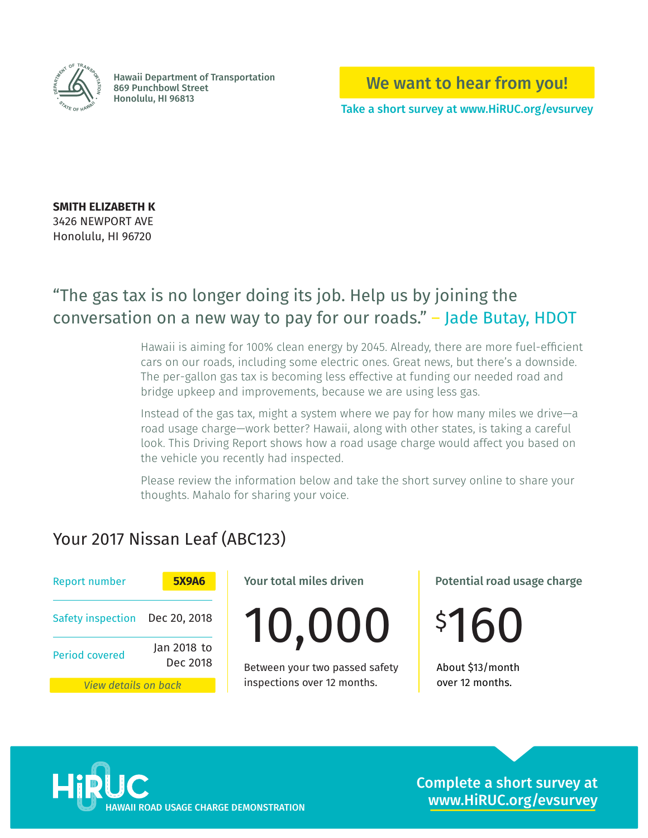

Hawaii Department of Transportation 869 Punchbowl Street Honolulu, HI 96813 **<sup>T</sup>AT<sup>E</sup> <sup>O</sup><sup>F</sup> <sup>H</sup>AWA<sup>I</sup><sup>I</sup>**

We want to hear from you!

Take a short survey at www.HiRUC.org/evsurvey

**SMITH ELIZABETH K** 3426 NEWPORT AVE Honolulu, HI 96720

## "The gas tax is no longer doing its job. Help us by joining the conversation on a new way to pay for our roads." – Jade Butay, HDOT

Hawaii is aiming for 100% clean energy by 2045. Already, there are more fuel-efficient cars on our roads, including some electric ones. Great news, but there's a downside. The per-gallon gas tax is becoming less effective at funding our needed road and bridge upkeep and improvements, because we are using less gas.

Instead of the gas tax, might a system where we pay for how many miles we drive—a road usage charge—work better? Hawaii, along with other states, is taking a careful look. This Driving Report shows how a road usage charge would affect you based on the vehicle you recently had inspected.

Please review the information below and take the short survey online to share your thoughts. Mahalo for sharing your voice.

## Your 2017 Nissan Leaf (ABC123)

| <b>Report number</b>           | <b>5X9A6</b>            |  |
|--------------------------------|-------------------------|--|
| Safety inspection Dec 20, 2018 |                         |  |
| <b>Period covered</b>          | Jan 2018 to<br>Dec 2018 |  |
| View details on back           |                         |  |

Your total miles driven

10,000

Dec 2018 Between your two passed safety About \$13/month inspections over 12 months.

Potential road usage charge

\$ 160

over 12 months.



Complete a short survey at www.HiRUC.org/evsurvey